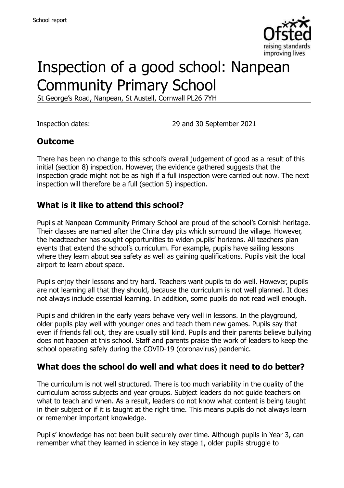

# Inspection of a good school: Nanpean Community Primary School

St George's Road, Nanpean, St Austell, Cornwall PL26 7YH

Inspection dates: 29 and 30 September 2021

#### **Outcome**

There has been no change to this school's overall judgement of good as a result of this initial (section 8) inspection. However, the evidence gathered suggests that the inspection grade might not be as high if a full inspection were carried out now. The next inspection will therefore be a full (section 5) inspection.

#### **What is it like to attend this school?**

Pupils at Nanpean Community Primary School are proud of the school's Cornish heritage. Their classes are named after the China clay pits which surround the village. However, the headteacher has sought opportunities to widen pupils' horizons. All teachers plan events that extend the school's curriculum. For example, pupils have sailing lessons where they learn about sea safety as well as gaining qualifications. Pupils visit the local airport to learn about space.

Pupils enjoy their lessons and try hard. Teachers want pupils to do well. However, pupils are not learning all that they should, because the curriculum is not well planned. It does not always include essential learning. In addition, some pupils do not read well enough.

Pupils and children in the early years behave very well in lessons. In the playground, older pupils play well with younger ones and teach them new games. Pupils say that even if friends fall out, they are usually still kind. Pupils and their parents believe bullying does not happen at this school. Staff and parents praise the work of leaders to keep the school operating safely during the COVID-19 (coronavirus) pandemic.

#### **What does the school do well and what does it need to do better?**

The curriculum is not well structured. There is too much variability in the quality of the curriculum across subjects and year groups. Subject leaders do not guide teachers on what to teach and when. As a result, leaders do not know what content is being taught in their subject or if it is taught at the right time. This means pupils do not always learn or remember important knowledge.

Pupils' knowledge has not been built securely over time. Although pupils in Year 3, can remember what they learned in science in key stage 1, older pupils struggle to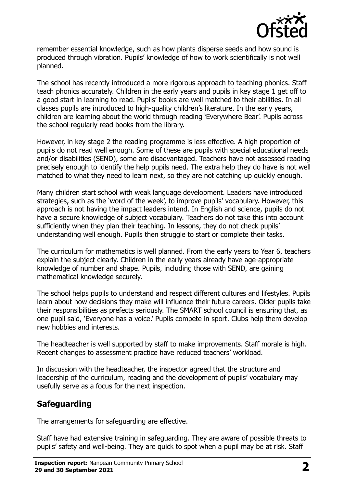

remember essential knowledge, such as how plants disperse seeds and how sound is produced through vibration. Pupils' knowledge of how to work scientifically is not well planned.

The school has recently introduced a more rigorous approach to teaching phonics. Staff teach phonics accurately. Children in the early years and pupils in key stage 1 get off to a good start in learning to read. Pupils' books are well matched to their abilities. In all classes pupils are introduced to high-quality children's literature. In the early years, children are learning about the world through reading 'Everywhere Bear'. Pupils across the school regularly read books from the library.

However, in key stage 2 the reading programme is less effective. A high proportion of pupils do not read well enough. Some of these are pupils with special educational needs and/or disabilities (SEND), some are disadvantaged. Teachers have not assessed reading precisely enough to identify the help pupils need. The extra help they do have is not well matched to what they need to learn next, so they are not catching up quickly enough.

Many children start school with weak language development. Leaders have introduced strategies, such as the 'word of the week', to improve pupils' vocabulary. However, this approach is not having the impact leaders intend. In English and science, pupils do not have a secure knowledge of subject vocabulary. Teachers do not take this into account sufficiently when they plan their teaching. In lessons, they do not check pupils' understanding well enough. Pupils then struggle to start or complete their tasks.

The curriculum for mathematics is well planned. From the early years to Year 6, teachers explain the subject clearly. Children in the early years already have age-appropriate knowledge of number and shape. Pupils, including those with SEND, are gaining mathematical knowledge securely.

The school helps pupils to understand and respect different cultures and lifestyles. Pupils learn about how decisions they make will influence their future careers. Older pupils take their responsibilities as prefects seriously. The SMART school council is ensuring that, as one pupil said, 'Everyone has a voice.' Pupils compete in sport. Clubs help them develop new hobbies and interests.

The headteacher is well supported by staff to make improvements. Staff morale is high. Recent changes to assessment practice have reduced teachers' workload.

In discussion with the headteacher, the inspector agreed that the structure and leadership of the curriculum, reading and the development of pupils' vocabulary may usefully serve as a focus for the next inspection.

# **Safeguarding**

The arrangements for safeguarding are effective.

Staff have had extensive training in safeguarding. They are aware of possible threats to pupils' safety and well-being. They are quick to spot when a pupil may be at risk. Staff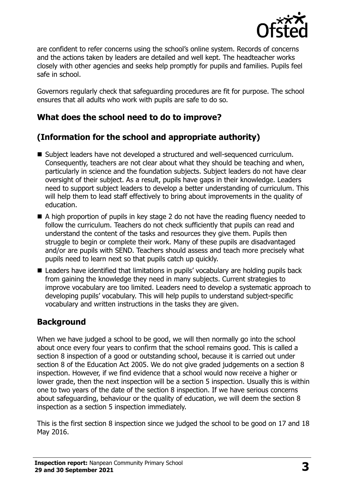

are confident to refer concerns using the school's online system. Records of concerns and the actions taken by leaders are detailed and well kept. The headteacher works closely with other agencies and seeks help promptly for pupils and families. Pupils feel safe in school.

Governors regularly check that safeguarding procedures are fit for purpose. The school ensures that all adults who work with pupils are safe to do so.

# **What does the school need to do to improve?**

# **(Information for the school and appropriate authority)**

- Subject leaders have not developed a structured and well-sequenced curriculum. Consequently, teachers are not clear about what they should be teaching and when, particularly in science and the foundation subjects. Subject leaders do not have clear oversight of their subject. As a result, pupils have gaps in their knowledge. Leaders need to support subject leaders to develop a better understanding of curriculum. This will help them to lead staff effectively to bring about improvements in the quality of education.
- A high proportion of pupils in key stage 2 do not have the reading fluency needed to follow the curriculum. Teachers do not check sufficiently that pupils can read and understand the content of the tasks and resources they give them. Pupils then struggle to begin or complete their work. Many of these pupils are disadvantaged and/or are pupils with SEND. Teachers should assess and teach more precisely what pupils need to learn next so that pupils catch up quickly.
- Leaders have identified that limitations in pupils' vocabulary are holding pupils back from gaining the knowledge they need in many subjects. Current strategies to improve vocabulary are too limited. Leaders need to develop a systematic approach to developing pupils' vocabulary. This will help pupils to understand subject-specific vocabulary and written instructions in the tasks they are given.

# **Background**

When we have judged a school to be good, we will then normally go into the school about once every four years to confirm that the school remains good. This is called a section 8 inspection of a good or outstanding school, because it is carried out under section 8 of the Education Act 2005. We do not give graded judgements on a section 8 inspection. However, if we find evidence that a school would now receive a higher or lower grade, then the next inspection will be a section 5 inspection. Usually this is within one to two years of the date of the section 8 inspection. If we have serious concerns about safeguarding, behaviour or the quality of education, we will deem the section 8 inspection as a section 5 inspection immediately.

This is the first section 8 inspection since we judged the school to be good on 17 and 18 May 2016.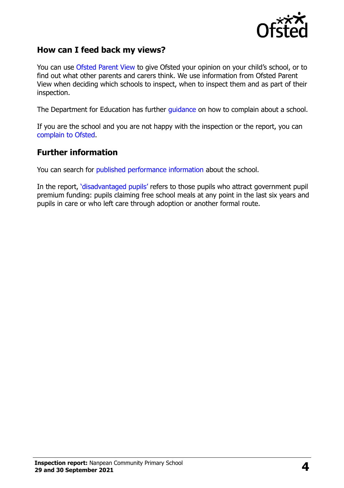

#### **How can I feed back my views?**

You can use [Ofsted Parent View](https://parentview.ofsted.gov.uk/) to give Ofsted your opinion on your child's school, or to find out what other parents and carers think. We use information from Ofsted Parent View when deciding which schools to inspect, when to inspect them and as part of their inspection.

The Department for Education has further [guidance](http://www.gov.uk/complain-about-school) on how to complain about a school.

If you are the school and you are not happy with the inspection or the report, you can [complain to Ofsted.](https://www.gov.uk/complain-ofsted-report)

#### **Further information**

You can search for [published performance information](http://www.compare-school-performance.service.gov.uk/) about the school.

In the report, '[disadvantaged pupils](http://www.gov.uk/guidance/pupil-premium-information-for-schools-and-alternative-provision-settings)' refers to those pupils who attract government pupil premium funding: pupils claiming free school meals at any point in the last six years and pupils in care or who left care through adoption or another formal route.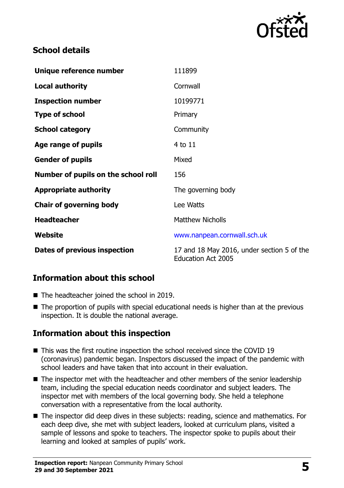

### **School details**

| Unique reference number             | 111899                                                                  |
|-------------------------------------|-------------------------------------------------------------------------|
| <b>Local authority</b>              | Cornwall                                                                |
| <b>Inspection number</b>            | 10199771                                                                |
| <b>Type of school</b>               | Primary                                                                 |
| <b>School category</b>              | Community                                                               |
| Age range of pupils                 | 4 to 11                                                                 |
| <b>Gender of pupils</b>             | Mixed                                                                   |
| Number of pupils on the school roll | 156                                                                     |
| <b>Appropriate authority</b>        | The governing body                                                      |
| <b>Chair of governing body</b>      | Lee Watts                                                               |
| <b>Headteacher</b>                  | <b>Matthew Nicholls</b>                                                 |
| Website                             | www.nanpean.cornwall.sch.uk                                             |
| Dates of previous inspection        | 17 and 18 May 2016, under section 5 of the<br><b>Education Act 2005</b> |

# **Information about this school**

- The headteacher joined the school in 2019.
- The proportion of pupils with special educational needs is higher than at the previous inspection. It is double the national average.

# **Information about this inspection**

- This was the first routine inspection the school received since the COVID 19 (coronavirus) pandemic began. Inspectors discussed the impact of the pandemic with school leaders and have taken that into account in their evaluation.
- The inspector met with the headteacher and other members of the senior leadership team, including the special education needs coordinator and subject leaders. The inspector met with members of the local governing body. She held a telephone conversation with a representative from the local authority.
- The inspector did deep dives in these subjects: reading, science and mathematics. For each deep dive, she met with subject leaders, looked at curriculum plans, visited a sample of lessons and spoke to teachers. The inspector spoke to pupils about their learning and looked at samples of pupils' work.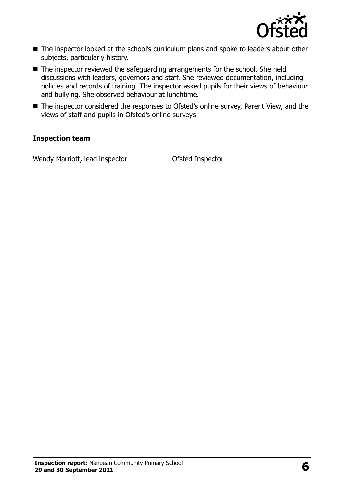

- The inspector looked at the school's curriculum plans and spoke to leaders about other subjects, particularly history.
- The inspector reviewed the safeguarding arrangements for the school. She held discussions with leaders, governors and staff. She reviewed documentation, including policies and records of training. The inspector asked pupils for their views of behaviour and bullying. She observed behaviour at lunchtime.
- The inspector considered the responses to Ofsted's online survey, Parent View, and the views of staff and pupils in Ofsted's online surveys.

#### **Inspection team**

Wendy Marriott, lead inspector **Ofsted Inspector**